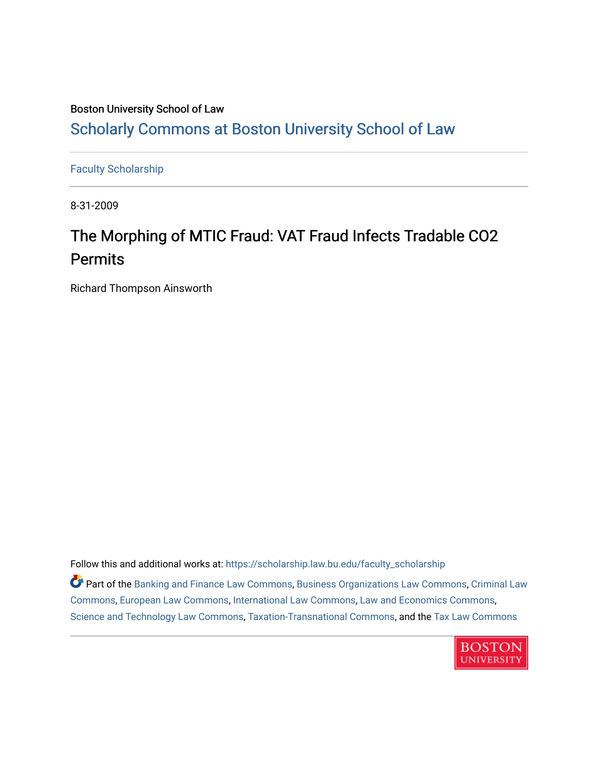### Boston University School of Law [Scholarly Commons at Boston University School of Law](https://scholarship.law.bu.edu/)

[Faculty Scholarship](https://scholarship.law.bu.edu/faculty_scholarship)

8-31-2009

# The Morphing of MTIC Fraud: VAT Fraud Infects Tradable CO2 Permits

Richard Thompson Ainsworth

Follow this and additional works at: [https://scholarship.law.bu.edu/faculty\\_scholarship](https://scholarship.law.bu.edu/faculty_scholarship?utm_source=scholarship.law.bu.edu%2Ffaculty_scholarship%2F1478&utm_medium=PDF&utm_campaign=PDFCoverPages)

Part of the [Banking and Finance Law Commons,](http://network.bepress.com/hgg/discipline/833?utm_source=scholarship.law.bu.edu%2Ffaculty_scholarship%2F1478&utm_medium=PDF&utm_campaign=PDFCoverPages) [Business Organizations Law Commons](http://network.bepress.com/hgg/discipline/900?utm_source=scholarship.law.bu.edu%2Ffaculty_scholarship%2F1478&utm_medium=PDF&utm_campaign=PDFCoverPages), [Criminal Law](http://network.bepress.com/hgg/discipline/912?utm_source=scholarship.law.bu.edu%2Ffaculty_scholarship%2F1478&utm_medium=PDF&utm_campaign=PDFCoverPages) [Commons](http://network.bepress.com/hgg/discipline/912?utm_source=scholarship.law.bu.edu%2Ffaculty_scholarship%2F1478&utm_medium=PDF&utm_campaign=PDFCoverPages), [European Law Commons,](http://network.bepress.com/hgg/discipline/1084?utm_source=scholarship.law.bu.edu%2Ffaculty_scholarship%2F1478&utm_medium=PDF&utm_campaign=PDFCoverPages) [International Law Commons,](http://network.bepress.com/hgg/discipline/609?utm_source=scholarship.law.bu.edu%2Ffaculty_scholarship%2F1478&utm_medium=PDF&utm_campaign=PDFCoverPages) [Law and Economics Commons,](http://network.bepress.com/hgg/discipline/612?utm_source=scholarship.law.bu.edu%2Ffaculty_scholarship%2F1478&utm_medium=PDF&utm_campaign=PDFCoverPages) [Science and Technology Law Commons](http://network.bepress.com/hgg/discipline/875?utm_source=scholarship.law.bu.edu%2Ffaculty_scholarship%2F1478&utm_medium=PDF&utm_campaign=PDFCoverPages), [Taxation-Transnational Commons,](http://network.bepress.com/hgg/discipline/883?utm_source=scholarship.law.bu.edu%2Ffaculty_scholarship%2F1478&utm_medium=PDF&utm_campaign=PDFCoverPages) and the [Tax Law Commons](http://network.bepress.com/hgg/discipline/898?utm_source=scholarship.law.bu.edu%2Ffaculty_scholarship%2F1478&utm_medium=PDF&utm_campaign=PDFCoverPages) 

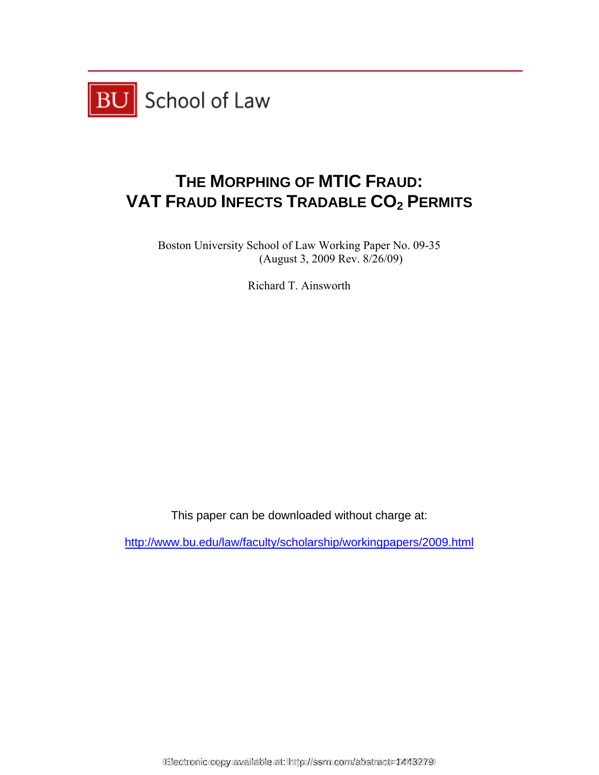

## **THE MORPHING OF MTIC FRAUD: VAT FRAUD INFECTS TRADABLE CO2 PERMITS**

Boston University School of Law Working Paper No. 09-35 (August 3, 2009 Rev. 8/26/09)

Richard T. Ainsworth

This paper can be downloaded without charge at:

http://www.bu.edu/law/faculty/scholarship/workingpapers/2009.html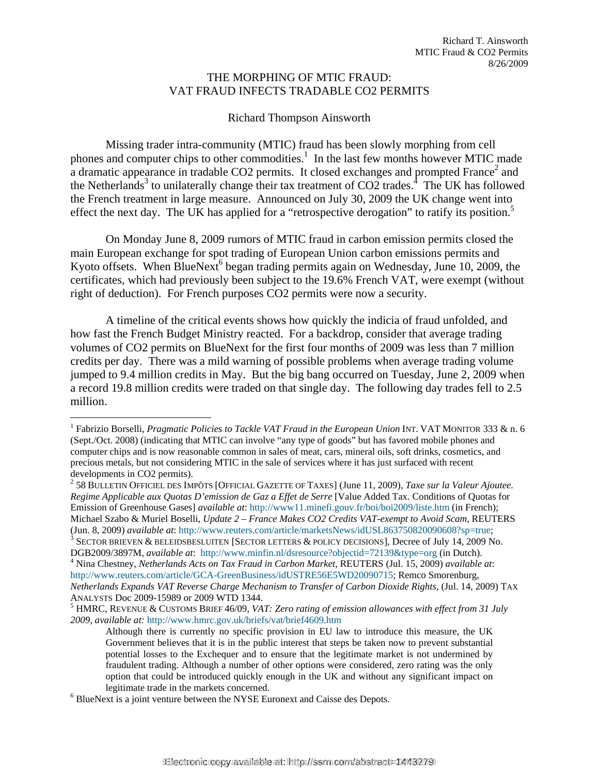#### THE MORPHING OF MTIC FRAUD: VAT FRAUD INFECTS TRADABLE CO2 PERMITS

#### Richard Thompson Ainsworth

 Missing trader intra-community (MTIC) fraud has been slowly morphing from cell phones and computer chips to other commodities.<sup>1</sup> In the last few months however MTIC made a dramatic appearance in tradable CO2 permits. It closed exchanges and prompted France<sup>2</sup> and the Netherlands<sup>3</sup> to unilaterally change their tax treatment of  $CO2$  trades.<sup>4</sup> The UK has followed the French treatment in large measure. Announced on July 30, 2009 the UK change went into effect the next day. The UK has applied for a "retrospective derogation" to ratify its position.<sup>5</sup>

On Monday June 8, 2009 rumors of MTIC fraud in carbon emission permits closed the main European exchange for spot trading of European Union carbon emissions permits and Kyoto offsets. When BlueNext<sup>6</sup> began trading permits again on Wednesday, June 10, 2009, the certificates, which had previously been subject to the 19.6% French VAT, were exempt (without right of deduction). For French purposes CO2 permits were now a security.

A timeline of the critical events shows how quickly the indicia of fraud unfolded, and how fast the French Budget Ministry reacted. For a backdrop, consider that average trading volumes of CO2 permits on BlueNext for the first four months of 2009 was less than 7 million credits per day. There was a mild warning of possible problems when average trading volume jumped to 9.4 million credits in May. But the big bang occurred on Tuesday, June 2, 2009 when a record 19.8 million credits were traded on that single day. The following day trades fell to 2.5 million.

<sup>&</sup>lt;sup>1</sup> Fabrizio Borselli, *Pragmatic Policies to Tackle VAT Fraud in the European Union* INT. VAT MONITOR 333 & n. 6 (Sept./Oct. 2008) (indicating that MTIC can involve "any type of goods" but has favored mobile phones and computer chips and is now reasonable common in sales of meat, cars, mineral oils, soft drinks, cosmetics, and precious metals, but not considering MTIC in the sale of services where it has just surfaced with recent developments in CO<sub>2</sub> permits).

 <sup>58</sup> BULLETIN OFFICIEL DES IMPÔTS [OFFICIAL GAZETTE OF TAXES] (June 11, 2009), *Taxe sur la Valeur Ajoutee. Regime Applicable aux Quotas D'emission de Gaz a Effet de Serre* [Value Added Tax. Conditions of Quotas for Emission of Greenhouse Gases] *available at*: http://www11.minefi.gouv.fr/boi/boi2009/liste.htm (in French); Michael Szabo & Muriel Boselli, *Update 2 – France Makes CO2 Credits VAT-exempt to Avoid Scam*, REUTERS (Jun. 8, 2009) *available at*: http://www.reuters.com/article/marketsNews/idUSL863750820090608?sp=true; 3

 $3$  Sector brieven & beleidsbesluiten [Sector letters & policy decisions], Decree of July 14, 2009 No. DGB2009/3897M, *available at*: http://www.minfin.nl/dsresource?objectid=72139&type=org (in Dutch). <sup>4</sup>

Nina Chestney, *Netherlands Acts on Tax Fraud in Carbon Market*, REUTERS (Jul. 15, 2009) *available at*: http://www.reuters.com/article/GCA-GreenBusiness/idUSTRE56E5WD20090715; Remco Smorenburg, *Netherlands Expands VAT Reverse Charge Mechanism to Transfer of Carbon Dioxide Rights*, (Jul. 14, 2009) TAX ANALYSTS Doc 2009-15989 or 2009 WTD 1344. 5

HMRC, REVENUE & CUSTOMS BRIEF 46/09, *VAT: Zero rating of emission allowances with effect from 31 July 2009, available at:* http://www.hmrc.gov.uk/briefs/vat/brief4609.htm

Although there is currently no specific provision in EU law to introduce this measure, the UK Government believes that it is in the public interest that steps be taken now to prevent substantial potential losses to the Exchequer and to ensure that the legitimate market is not undermined by fraudulent trading. Although a number of other options were considered, zero rating was the only option that could be introduced quickly enough in the UK and without any significant impact on legitimate trade in the markets concerned.

<sup>&</sup>lt;sup>6</sup> BlueNext is a joint venture between the NYSE Euronext and Caisse des Depots.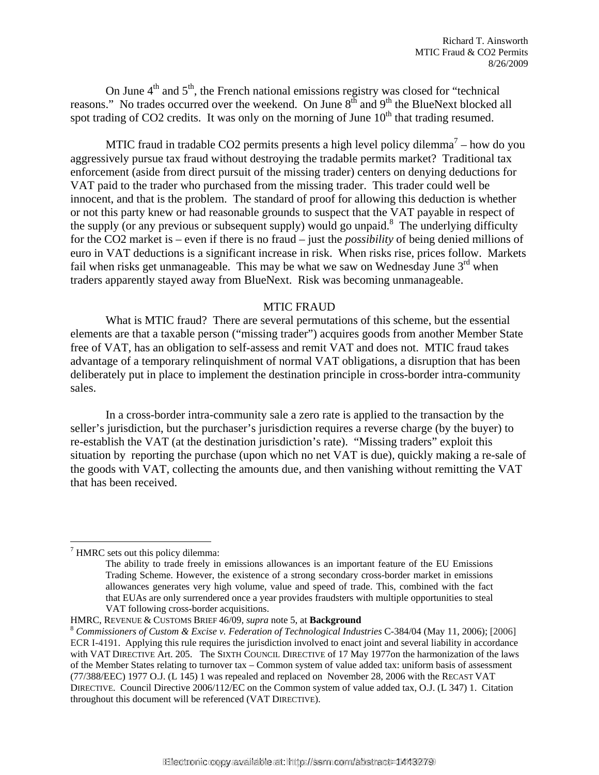On June  $4<sup>th</sup>$  and  $5<sup>th</sup>$ , the French national emissions registry was closed for "technical reasons." No trades occurred over the weekend. On June  $8<sup>th</sup>$  and  $9<sup>th</sup>$  the BlueNext blocked all spot trading of CO2 credits. It was only on the morning of June  $10<sup>th</sup>$  that trading resumed.

MTIC fraud in tradable CO2 permits presents a high level policy dilemma<sup>7</sup> – how do you aggressively pursue tax fraud without destroying the tradable permits market? Traditional tax enforcement (aside from direct pursuit of the missing trader) centers on denying deductions for VAT paid to the trader who purchased from the missing trader. This trader could well be innocent, and that is the problem. The standard of proof for allowing this deduction is whether or not this party knew or had reasonable grounds to suspect that the VAT payable in respect of the supply (or any previous or subsequent supply) would go unpaid.<sup>8</sup> The underlying difficulty for the CO2 market is – even if there is no fraud – just the *possibility* of being denied millions of euro in VAT deductions is a significant increase in risk. When risks rise, prices follow. Markets fail when risks get unmanageable. This may be what we saw on Wednesday June  $3<sup>rd</sup>$  when traders apparently stayed away from BlueNext. Risk was becoming unmanageable.

#### MTIC FRAUD

What is MTIC fraud? There are several permutations of this scheme, but the essential elements are that a taxable person ("missing trader") acquires goods from another Member State free of VAT, has an obligation to self-assess and remit VAT and does not. MTIC fraud takes advantage of a temporary relinquishment of normal VAT obligations, a disruption that has been deliberately put in place to implement the destination principle in cross-border intra-community sales.

In a cross-border intra-community sale a zero rate is applied to the transaction by the seller's jurisdiction, but the purchaser's jurisdiction requires a reverse charge (by the buyer) to re-establish the VAT (at the destination jurisdiction's rate). "Missing traders" exploit this situation by reporting the purchase (upon which no net VAT is due), quickly making a re-sale of the goods with VAT, collecting the amounts due, and then vanishing without remitting the VAT that has been received.

1

 $7$  HMRC sets out this policy dilemma:

The ability to trade freely in emissions allowances is an important feature of the EU Emissions Trading Scheme. However, the existence of a strong secondary cross-border market in emissions allowances generates very high volume, value and speed of trade. This, combined with the fact that EUAs are only surrendered once a year provides fraudsters with multiple opportunities to steal VAT following cross-border acquisitions.

HMRC, REVENUE & CUSTOMS BRIEF 46/09, *supra* note 5, at **Background**<br><sup>8</sup> *Commissioners of Custom & Excise v. Federation of Technological Industries* C-384/04 (May 11, 2006); [2006] ECR I-4191. Applying this rule requires the jurisdiction involved to enact joint and several liability in accordance with VAT DIRECTIVE Art. 205. The SIXTH COUNCIL DIRECTIVE of 17 May 1977on the harmonization of the laws of the Member States relating to turnover tax – Common system of value added tax: uniform basis of assessment (77/388/EEC) 1977 O.J. (L 145) 1 was repealed and replaced on November 28, 2006 with the RECAST VAT DIRECTIVE. Council Directive 2006/112/EC on the Common system of value added tax, O.J. (L 347) 1. Citation throughout this document will be referenced (VAT DIRECTIVE).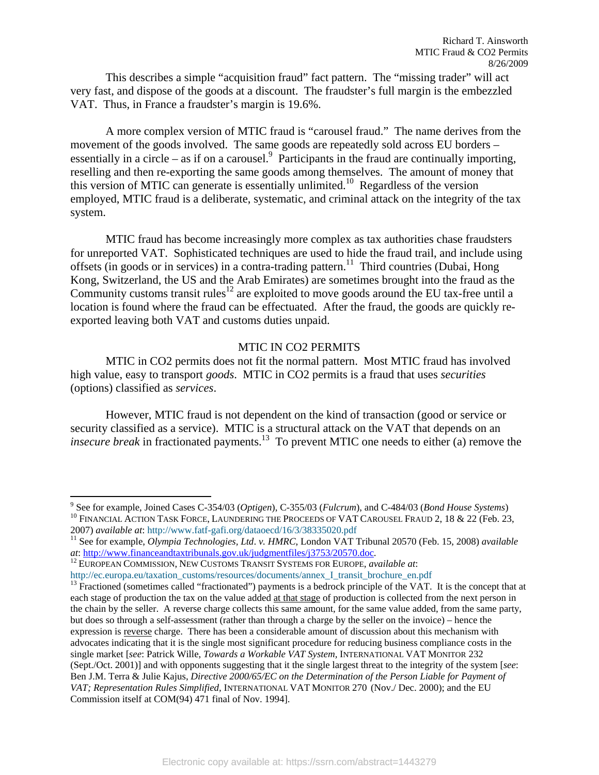This describes a simple "acquisition fraud" fact pattern. The "missing trader" will act very fast, and dispose of the goods at a discount. The fraudster's full margin is the embezzled VAT. Thus, in France a fraudster's margin is 19.6%.

A more complex version of MTIC fraud is "carousel fraud." The name derives from the movement of the goods involved. The same goods are repeatedly sold across EU borders – essentially in a circle – as if on a carousel. $9$  Participants in the fraud are continually importing, reselling and then re-exporting the same goods among themselves. The amount of money that this version of MTIC can generate is essentially unlimited.<sup>10</sup> Regardless of the version employed, MTIC fraud is a deliberate, systematic, and criminal attack on the integrity of the tax system.

MTIC fraud has become increasingly more complex as tax authorities chase fraudsters for unreported VAT. Sophisticated techniques are used to hide the fraud trail, and include using offsets (in goods or in services) in a contra-trading pattern.<sup>11</sup> Third countries (Dubai, Hong Kong, Switzerland, the US and the Arab Emirates) are sometimes brought into the fraud as the Community customs transit rules<sup>12</sup> are exploited to move goods around the EU tax-free until a location is found where the fraud can be effectuated. After the fraud, the goods are quickly reexported leaving both VAT and customs duties unpaid.

#### MTIC IN CO2 PERMITS

 MTIC in CO2 permits does not fit the normal pattern. Most MTIC fraud has involved high value, easy to transport *goods*. MTIC in CO2 permits is a fraud that uses *securities* (options) classified as *services*.

However, MTIC fraud is not dependent on the kind of transaction (good or service or security classified as a service). MTIC is a structural attack on the VAT that depends on an *insecure break* in fractionated payments.<sup>13</sup> To prevent MTIC one needs to either (a) remove the

1

<sup>&</sup>lt;sup>9</sup> See for example, Joined Cases C-354/03 (Optigen), C-355/03 (Fulcrum), and C-484/03 (Bond House Systems) <sup>10</sup> FINANCIAL ACTION TASK FORCE, LAUNDERING THE PROCEEDS OF VAT CAROUSEL FRAUD 2, 18 & 22 (Feb. 23,

<sup>2007)</sup> *available at*: http://www.fatf-gafi.org/dataoecd/16/3/38335020.pdf 11 See for example, *Olympia Technologies, Ltd*. *v. HMRC*, London VAT Tribunal 20570 (Feb. 15, 2008) *available at*: http://www.financeandtaxtribunals.gov.uk/judgmentfiles/j3753/20570.doc. 12 EUROPEAN COMMISSION, NEW CUSTOMS TRANSIT SYSTEMS FOR EUROPE, *available at*:

http://ec.europa.eu/taxation\_customs/resources/documents/annex\_I\_transit\_brochure\_en.pdf 13 Fractioned (sometimes called "fractionated") payments is a bedrock principle of the VAT. It is the concept that at each stage of production the tax on the value added at that stage of production is collected from the next person in the chain by the seller. A reverse charge collects this same amount, for the same value added, from the same party, but does so through a self-assessment (rather than through a charge by the seller on the invoice) – hence the expression is reverse charge. There has been a considerable amount of discussion about this mechanism with advocates indicating that it is the single most significant procedure for reducing business compliance costs in the single market [*see*: Patrick Wille, *Towards a Workable VAT System,* INTERNATIONAL VAT MONITOR 232 (Sept./Oct. 2001)] and with opponents suggesting that it the single largest threat to the integrity of the system [*see*: Ben J.M. Terra & Julie Kajus, *Directive 2000/65/EC on the Determination of the Person Liable for Payment of VAT; Representation Rules Simplified,* INTERNATIONAL VAT MONITOR 270 (Nov./ Dec. 2000); and the EU Commission itself at COM(94) 471 final of Nov. 1994].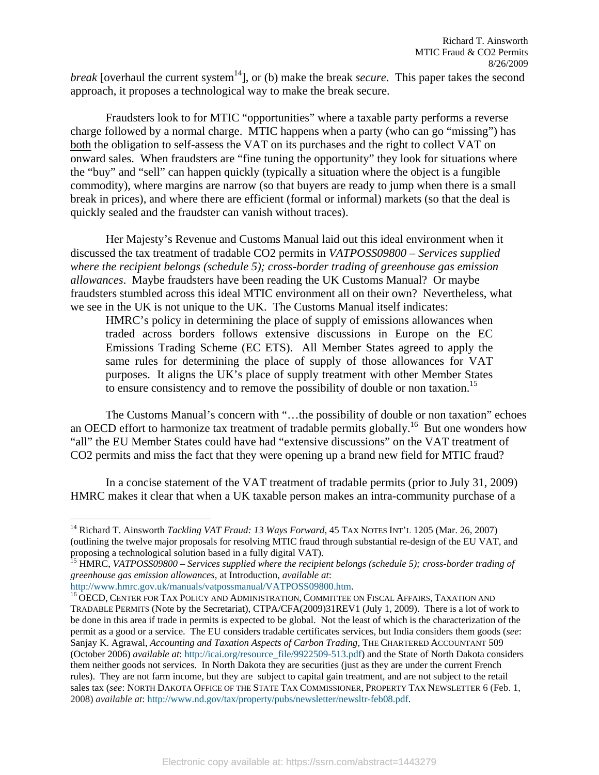*break* [overhaul the current system<sup>14</sup>], or (b) make the break *secure*. This paper takes the second approach, it proposes a technological way to make the break secure.

Fraudsters look to for MTIC "opportunities" where a taxable party performs a reverse charge followed by a normal charge. MTIC happens when a party (who can go "missing") has both the obligation to self-assess the VAT on its purchases and the right to collect VAT on onward sales. When fraudsters are "fine tuning the opportunity" they look for situations where the "buy" and "sell" can happen quickly (typically a situation where the object is a fungible commodity), where margins are narrow (so that buyers are ready to jump when there is a small break in prices), and where there are efficient (formal or informal) markets (so that the deal is quickly sealed and the fraudster can vanish without traces).

Her Majesty's Revenue and Customs Manual laid out this ideal environment when it discussed the tax treatment of tradable CO2 permits in *VATPOSS09800 – Services supplied where the recipient belongs (schedule 5); cross-border trading of greenhouse gas emission allowances*. Maybe fraudsters have been reading the UK Customs Manual? Or maybe fraudsters stumbled across this ideal MTIC environment all on their own? Nevertheless, what we see in the UK is not unique to the UK. The Customs Manual itself indicates:

HMRC's policy in determining the place of supply of emissions allowances when traded across borders follows extensive discussions in Europe on the EC Emissions Trading Scheme (EC ETS). All Member States agreed to apply the same rules for determining the place of supply of those allowances for VAT purposes. It aligns the UK's place of supply treatment with other Member States to ensure consistency and to remove the possibility of double or non taxation.<sup>15</sup>

The Customs Manual's concern with "…the possibility of double or non taxation" echoes an OECD effort to harmonize tax treatment of tradable permits globally.<sup>16</sup> But one wonders how "all" the EU Member States could have had "extensive discussions" on the VAT treatment of CO2 permits and miss the fact that they were opening up a brand new field for MTIC fraud?

 In a concise statement of the VAT treatment of tradable permits (prior to July 31, 2009) HMRC makes it clear that when a UK taxable person makes an intra-community purchase of a

<sup>14</sup> Richard T. Ainsworth *Tackling VAT Fraud: 13 Ways Forward,* 45 TAX NOTES INT'L 1205 (Mar. 26, 2007) (outlining the twelve major proposals for resolving MTIC fraud through substantial re-design of the EU VAT, and proposing a technological solution based in a fully digital VAT).

<sup>&</sup>lt;sup>15</sup> HMRC, VATPOSS09800 – Services supplied where the recipient belongs (schedule 5); cross-border trading of *greenhouse gas emission allowances,* at Introduction, *available at*:

http://www.hmrc.gov.uk/manuals/vatpossmanual/VATPOSS09800.htm.<br><sup>16</sup> OECD, CENTER FOR TAX POLICY AND ADMINISTRATION, COMMITTEE ON FISCAL AFFAIRS, TAXATION AND TRADABLE PERMITS (Note by the Secretariat), CTPA/CFA(2009)31REV1 (July 1, 2009). There is a lot of work to be done in this area if trade in permits is expected to be global. Not the least of which is the characterization of the permit as a good or a service. The EU considers tradable certificates services, but India considers them goods (*see*: Sanjay K. Agrawal, *Accounting and Taxation Aspects of Carbon Trading,* THE CHARTERED ACCOUNTANT 509 (October 2006) *available at*: http://icai.org/resource\_file/9922509-513.pdf) and the State of North Dakota considers them neither goods not services. In North Dakota they are securities (just as they are under the current French rules). They are not farm income, but they are subject to capital gain treatment, and are not subject to the retail sales tax (*see*: NORTH DAKOTA OFFICE OF THE STATE TAX COMMISSIONER, PROPERTY TAX NEWSLETTER 6 (Feb. 1, 2008) *available at*: http://www.nd.gov/tax/property/pubs/newsletter/newsltr-feb08.pdf.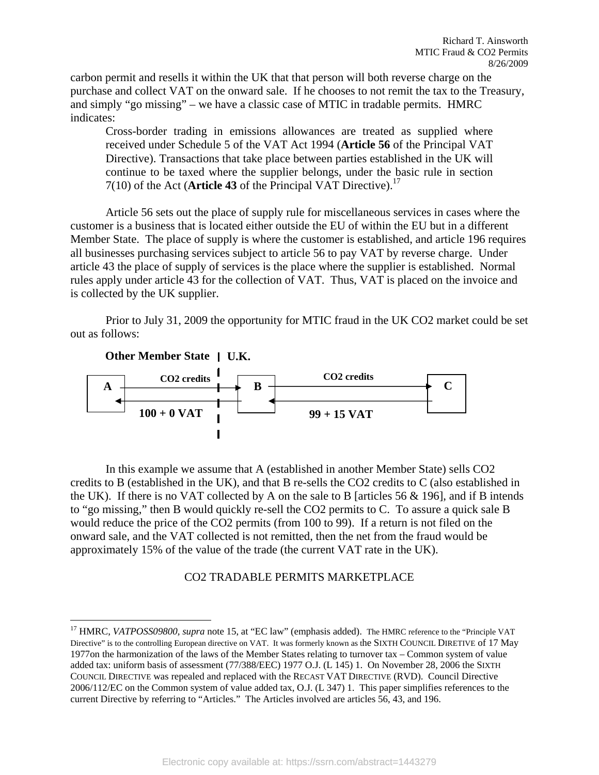carbon permit and resells it within the UK that that person will both reverse charge on the purchase and collect VAT on the onward sale. If he chooses to not remit the tax to the Treasury, and simply "go missing" – we have a classic case of MTIC in tradable permits. HMRC indicates:

Cross-border trading in emissions allowances are treated as supplied where received under Schedule 5 of the VAT Act 1994 (**Article 56** of the Principal VAT Directive). Transactions that take place between parties established in the UK will continue to be taxed where the supplier belongs, under the basic rule in section  $7(10)$  of the Act (**Article 43** of the Principal VAT Directive).<sup>17</sup>

 Article 56 sets out the place of supply rule for miscellaneous services in cases where the customer is a business that is located either outside the EU of within the EU but in a different Member State. The place of supply is where the customer is established, and article 196 requires all businesses purchasing services subject to article 56 to pay VAT by reverse charge. Under article 43 the place of supply of services is the place where the supplier is established. Normal rules apply under article 43 for the collection of VAT. Thus, VAT is placed on the invoice and is collected by the UK supplier.

Prior to July 31, 2009 the opportunity for MTIC fraud in the UK CO2 market could be set out as follows:



In this example we assume that A (established in another Member State) sells CO2 credits to B (established in the UK), and that B re-sells the CO2 credits to C (also established in the UK). If there is no VAT collected by A on the sale to B [articles  $56 \& 196$ ], and if B intends to "go missing," then B would quickly re-sell the CO2 permits to C. To assure a quick sale B would reduce the price of the CO2 permits (from 100 to 99). If a return is not filed on the onward sale, and the VAT collected is not remitted, then the net from the fraud would be approximately 15% of the value of the trade (the current VAT rate in the UK).

#### CO2 TRADABLE PERMITS MARKETPLACE

<sup>&</sup>lt;sup>17</sup> HMRC, *VATPOSS09800, supra* note 15, at "EC law" (emphasis added). The HMRC reference to the "Principle VAT Directive" is to the controlling European directive on VAT. It was formerly known as the SIXTH COUNCIL DIRETIVE of 17 May 1977on the harmonization of the laws of the Member States relating to turnover tax – Common system of value added tax: uniform basis of assessment (77/388/EEC) 1977 O.J. (L 145) 1. On November 28, 2006 the SIXTH COUNCIL DIRECTIVE was repealed and replaced with the RECAST VAT DIRECTIVE (RVD). Council Directive 2006/112/EC on the Common system of value added tax, O.J. (L 347) 1. This paper simplifies references to the current Directive by referring to "Articles." The Articles involved are articles 56, 43, and 196.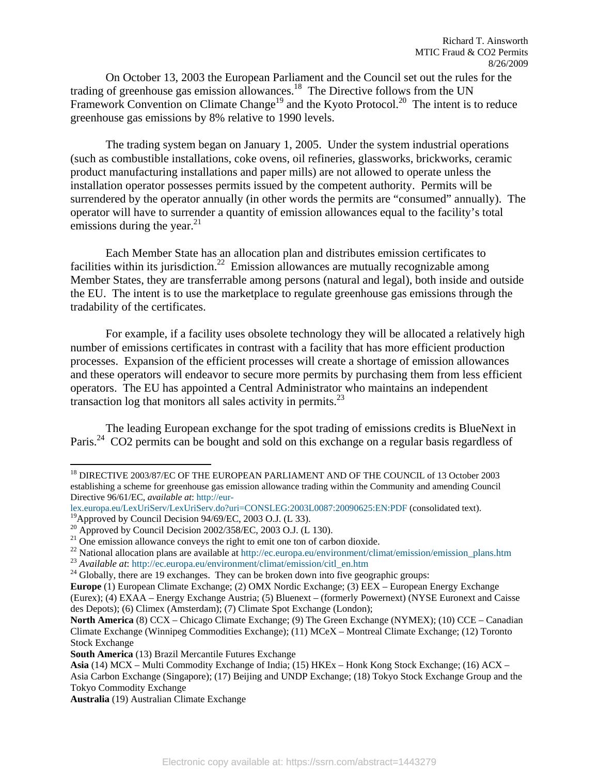On October 13, 2003 the European Parliament and the Council set out the rules for the trading of greenhouse gas emission allowances.18 The Directive follows from the UN Framework Convention on Climate Change<sup>19</sup> and the Kyoto Protocol.<sup>20</sup> The intent is to reduce greenhouse gas emissions by 8% relative to 1990 levels.

 The trading system began on January 1, 2005. Under the system industrial operations (such as combustible installations, coke ovens, oil refineries, glassworks, brickworks, ceramic product manufacturing installations and paper mills) are not allowed to operate unless the installation operator possesses permits issued by the competent authority. Permits will be surrendered by the operator annually (in other words the permits are "consumed" annually). The operator will have to surrender a quantity of emission allowances equal to the facility's total emissions during the year. $^{21}$ 

 Each Member State has an allocation plan and distributes emission certificates to facilities within its jurisdiction.<sup>22</sup> Emission allowances are mutually recognizable among Member States, they are transferrable among persons (natural and legal), both inside and outside the EU. The intent is to use the marketplace to regulate greenhouse gas emissions through the tradability of the certificates.

For example, if a facility uses obsolete technology they will be allocated a relatively high number of emissions certificates in contrast with a facility that has more efficient production processes. Expansion of the efficient processes will create a shortage of emission allowances and these operators will endeavor to secure more permits by purchasing them from less efficient operators. The EU has appointed a Central Administrator who maintains an independent transaction log that monitors all sales activity in permits. $^{23}$ 

The leading European exchange for the spot trading of emissions credits is BlueNext in Paris.<sup>24</sup> CO2 permits can be bought and sold on this exchange on a regular basis regardless of

<sup>&</sup>lt;sup>18</sup> DIRECTIVE 2003/87/EC OF THE EUROPEAN PARLIAMENT AND OF THE COUNCIL of 13 October 2003 establishing a scheme for greenhouse gas emission allowance trading within the Community and amending Council Directive 96/61/EC, *available at*: http://eur-

lex.europa.eu/LexUriServ/LexUriServ.do?uri=CONSLEG:2003L0087:20090625:EN:PDF (consolidated text).

<sup>&</sup>lt;sup>19</sup>Approved by Council Decision 94/69/EC, 2003 O.J. (L 33).

<sup>&</sup>lt;sup>20</sup> Approved by Council Decision 2002/358/EC, 2003 O.J. (L 130).

 $21$  One emission allowance conveys the right to emit one ton of carbon dioxide.

<sup>&</sup>lt;sup>22</sup> National allocation plans are available at http://ec.europa.eu/environment/climat/emission/emission\_plans.htm <sup>23</sup> Available at: http://ec.europa.eu/environment/climat/emission/citl\_en.htm <sup>24</sup> Globally, there are 19

**Europe** (1) European Climate Exchange; (2) OMX Nordic Exchange; (3) EEX – European Energy Exchange

<sup>(</sup>Eurex); (4) EXAA – Energy Exchange Austria; (5) Bluenext – (formerly Powernext) (NYSE Euronext and Caisse des Depots); (6) Climex (Amsterdam); (7) Climate Spot Exchange (London);

**North America** (8) CCX – Chicago Climate Exchange; (9) The Green Exchange (NYMEX); (10) CCE – Canadian Climate Exchange (Winnipeg Commodities Exchange); (11) MCeX – Montreal Climate Exchange; (12) Toronto Stock Exchange

**South America** (13) Brazil Mercantile Futures Exchange

**Asia** (14) MCX – Multi Commodity Exchange of India; (15) HKEx – Honk Kong Stock Exchange; (16) ACX – Asia Carbon Exchange (Singapore); (17) Beijing and UNDP Exchange; (18) Tokyo Stock Exchange Group and the Tokyo Commodity Exchange

**Australia** (19) Australian Climate Exchange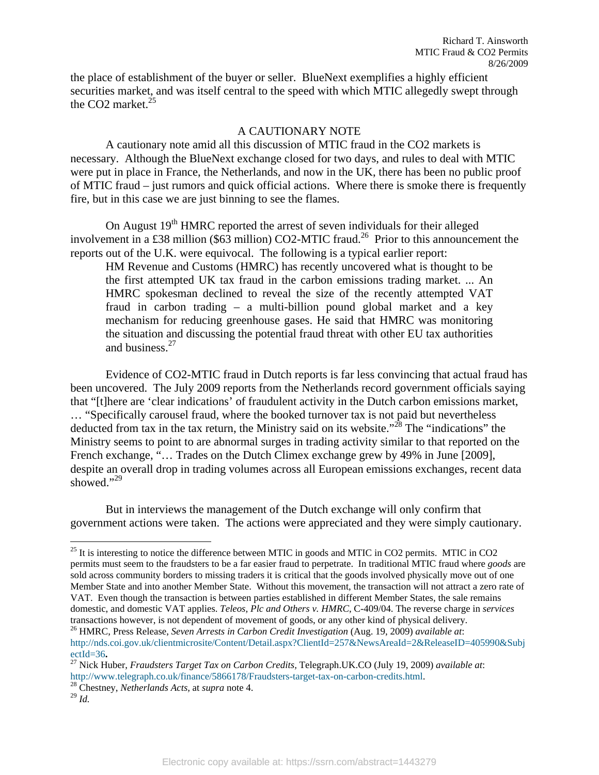the place of establishment of the buyer or seller. BlueNext exemplifies a highly efficient securities market, and was itself central to the speed with which MTIC allegedly swept through the CO2 market. $25$ 

#### A CAUTIONARY NOTE

A cautionary note amid all this discussion of MTIC fraud in the CO2 markets is necessary. Although the BlueNext exchange closed for two days, and rules to deal with MTIC were put in place in France, the Netherlands, and now in the UK, there has been no public proof of MTIC fraud – just rumors and quick official actions. Where there is smoke there is frequently fire, but in this case we are just binning to see the flames.

On August  $19<sup>th</sup>$  HMRC reported the arrest of seven individuals for their alleged involvement in a £38 million (\$63 million) CO2-MTIC fraud.<sup>26</sup> Prior to this announcement the reports out of the U.K. were equivocal. The following is a typical earlier report:

HM Revenue and Customs (HMRC) has recently uncovered what is thought to be the first attempted UK tax fraud in the carbon emissions trading market. ... An HMRC spokesman declined to reveal the size of the recently attempted VAT fraud in carbon trading – a multi-billion pound global market and a key mechanism for reducing greenhouse gases. He said that HMRC was monitoring the situation and discussing the potential fraud threat with other EU tax authorities and business.<sup>27</sup>

Evidence of CO2-MTIC fraud in Dutch reports is far less convincing that actual fraud has been uncovered. The July 2009 reports from the Netherlands record government officials saying that "[t]here are 'clear indications' of fraudulent activity in the Dutch carbon emissions market, … "Specifically carousel fraud, where the booked turnover tax is not paid but nevertheless deducted from tax in the tax return, the Ministry said on its website."<sup>28</sup> The "indications" the Ministry seems to point to are abnormal surges in trading activity similar to that reported on the French exchange, "... Trades on the Dutch Climex exchange grew by 49% in June [2009], despite an overall drop in trading volumes across all European emissions exchanges, recent data showed."29

But in interviews the management of the Dutch exchange will only confirm that government actions were taken. The actions were appreciated and they were simply cautionary.

26 HMRC, Press Release, *Seven Arrests in Carbon Credit Investigation* (Aug. 19, 2009) *available at*: http://nds.coi.gov.uk/clientmicrosite/Content/Detail.aspx?ClientId=257&NewsAreaId=2&ReleaseID=405990&Subj

 $25$  It is interesting to notice the difference between MTIC in goods and MTIC in CO2 permits. MTIC in CO2 permits must seem to the fraudsters to be a far easier fraud to perpetrate. In traditional MTIC fraud where *goods* are sold across community borders to missing traders it is critical that the goods involved physically move out of one Member State and into another Member State. Without this movement, the transaction will not attract a zero rate of VAT. Even though the transaction is between parties established in different Member States, the sale remains domestic, and domestic VAT applies. *Teleos, Plc and Others v. HMRC*, C-409/04. The reverse charge in *services* transactions however, is not dependent of movement of goods, or any other kind of physical delivery.

ectId=36**.** 27 Nick Huber, *Fraudsters Target Tax on Carbon Credits,* Telegraph.UK.CO (July 19, 2009) *available at*: http://www.telegraph.co.uk/finance/5866178/Fraudsters-target-tax-on-carbon-credits.html. 28 Chestney, *Netherlands Acts,* at *supra* note 4.

<sup>29</sup> *Id.*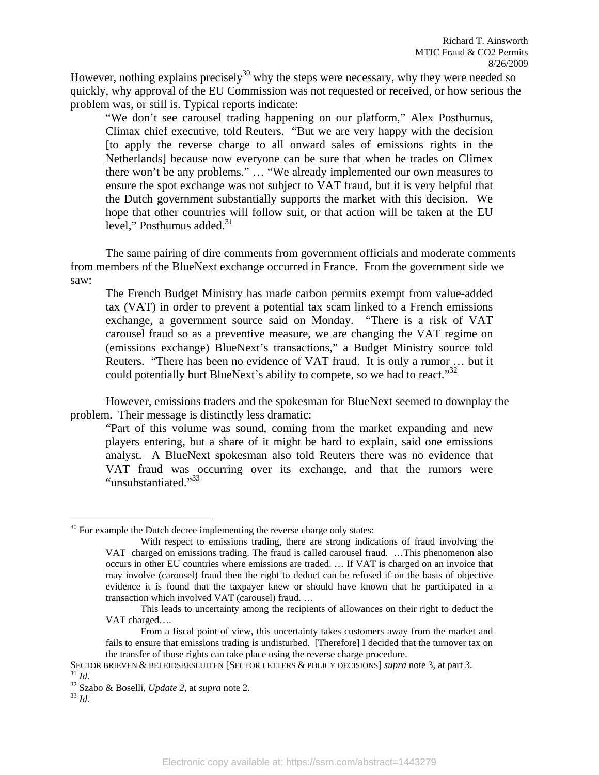However, nothing explains precisely<sup>30</sup> why the steps were necessary, why they were needed so quickly, why approval of the EU Commission was not requested or received, or how serious the problem was, or still is. Typical reports indicate:

"We don't see carousel trading happening on our platform," Alex Posthumus, Climax chief executive, told Reuters. "But we are very happy with the decision [to apply the reverse charge to all onward sales of emissions rights in the Netherlands] because now everyone can be sure that when he trades on Climex there won't be any problems." … "We already implemented our own measures to ensure the spot exchange was not subject to VAT fraud, but it is very helpful that the Dutch government substantially supports the market with this decision. We hope that other countries will follow suit, or that action will be taken at the EU level," Posthumus added. $31$ 

 The same pairing of dire comments from government officials and moderate comments from members of the BlueNext exchange occurred in France. From the government side we saw:

The French Budget Ministry has made carbon permits exempt from value-added tax (VAT) in order to prevent a potential tax scam linked to a French emissions exchange, a government source said on Monday. "There is a risk of VAT carousel fraud so as a preventive measure, we are changing the VAT regime on (emissions exchange) BlueNext's transactions," a Budget Ministry source told Reuters. "There has been no evidence of VAT fraud. It is only a rumor … but it could potentially hurt BlueNext's ability to compete, so we had to react.<sup>332</sup>

However, emissions traders and the spokesman for BlueNext seemed to downplay the problem. Their message is distinctly less dramatic:

"Part of this volume was sound, coming from the market expanding and new players entering, but a share of it might be hard to explain, said one emissions analyst. A BlueNext spokesman also told Reuters there was no evidence that VAT fraud was occurring over its exchange, and that the rumors were "unsubstantiated."<sup>33</sup>

 $30$  For example the Dutch decree implementing the reverse charge only states:

With respect to emissions trading, there are strong indications of fraud involving the VAT charged on emissions trading. The fraud is called carousel fraud. …This phenomenon also occurs in other EU countries where emissions are traded. … If VAT is charged on an invoice that may involve (carousel) fraud then the right to deduct can be refused if on the basis of objective evidence it is found that the taxpayer knew or should have known that he participated in a transaction which involved VAT (carousel) fraud. …

This leads to uncertainty among the recipients of allowances on their right to deduct the VAT charged….

From a fiscal point of view, this uncertainty takes customers away from the market and fails to ensure that emissions trading is undisturbed. [Therefore] I decided that the turnover tax on the transfer of those rights can take place using the reverse charge procedure.

SECTOR BRIEVEN & BELEIDSBESLUITEN [SECTOR LETTERS & POLICY DECISIONS] *supra* note 3, at part 3. <sup>31</sup> *Id.* <sup>32</sup> Szabo & Boselli, *Update 2*, at *supra* note 2. <sup>33</sup> *Id Id*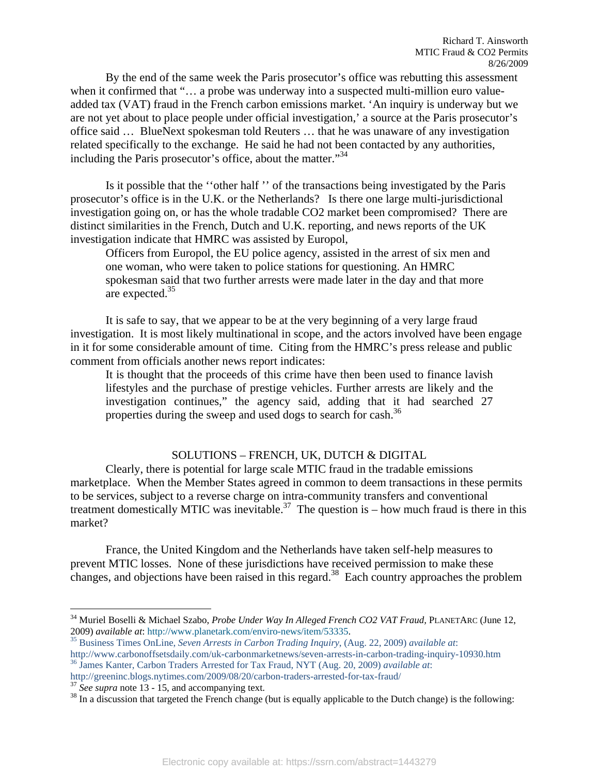By the end of the same week the Paris prosecutor's office was rebutting this assessment when it confirmed that "... a probe was underway into a suspected multi-million euro valueadded tax (VAT) fraud in the French carbon emissions market. 'An inquiry is underway but we are not yet about to place people under official investigation,' a source at the Paris prosecutor's office said … BlueNext spokesman told Reuters … that he was unaware of any investigation related specifically to the exchange. He said he had not been contacted by any authorities, including the Paris prosecutor's office, about the matter."<sup>34</sup>

Is it possible that the ''other half '' of the transactions being investigated by the Paris prosecutor's office is in the U.K. or the Netherlands? Is there one large multi-jurisdictional investigation going on, or has the whole tradable CO2 market been compromised? There are distinct similarities in the French, Dutch and U.K. reporting, and news reports of the UK investigation indicate that HMRC was assisted by Europol,

Officers from Europol, the EU police agency, assisted in the arrest of six men and one woman, who were taken to police stations for questioning. An HMRC spokesman said that two further arrests were made later in the day and that more are expected.<sup>35</sup>

It is safe to say, that we appear to be at the very beginning of a very large fraud investigation. It is most likely multinational in scope, and the actors involved have been engage in it for some considerable amount of time. Citing from the HMRC's press release and public comment from officials another news report indicates:

It is thought that the proceeds of this crime have then been used to finance lavish lifestyles and the purchase of prestige vehicles. Further arrests are likely and the investigation continues," the agency said, adding that it had searched 27 properties during the sweep and used dogs to search for cash.<sup>36</sup>

#### SOLUTIONS – FRENCH, UK, DUTCH & DIGITAL

 Clearly, there is potential for large scale MTIC fraud in the tradable emissions marketplace. When the Member States agreed in common to deem transactions in these permits to be services, subject to a reverse charge on intra-community transfers and conventional treatment domestically MTIC was inevitable.<sup>37</sup> The question is – how much fraud is there in this market?

France, the United Kingdom and the Netherlands have taken self-help measures to prevent MTIC losses. None of these jurisdictions have received permission to make these changes, and objections have been raised in this regard.<sup>38</sup> Each country approaches the problem

<sup>&</sup>lt;sup>34</sup> Muriel Boselli & Michael Szabo, *Probe Under Way In Alleged French CO2 VAT Fraud*, PLANETARC (June 12, 2009) *available at:* http://www.planetark.com/enviro-news/item/53335.

<sup>&</sup>lt;sup>35</sup> Business Times OnLine, Seven Arrests in Carbon Trading Inquiry, (Aug. 22, 2009) *available at*: http://www.carbonoffsetsdaily.com/uk-carbonmarketnews/seven-arrests-in-carbon-trading-inquiry-10930.htm <sup>36</sup> James Kanter, Carbon Traders Arrested for Tax Fraud, NYT (Aug. 20, 2009) *available at*:<br>http://greeninc.blogs.ny

 $\frac{37}{38}$  See supra note 13 - 15, and accompanying text.<br><sup>38</sup> In a discussion that targeted the French change (but is equally applicable to the Dutch change) is the following: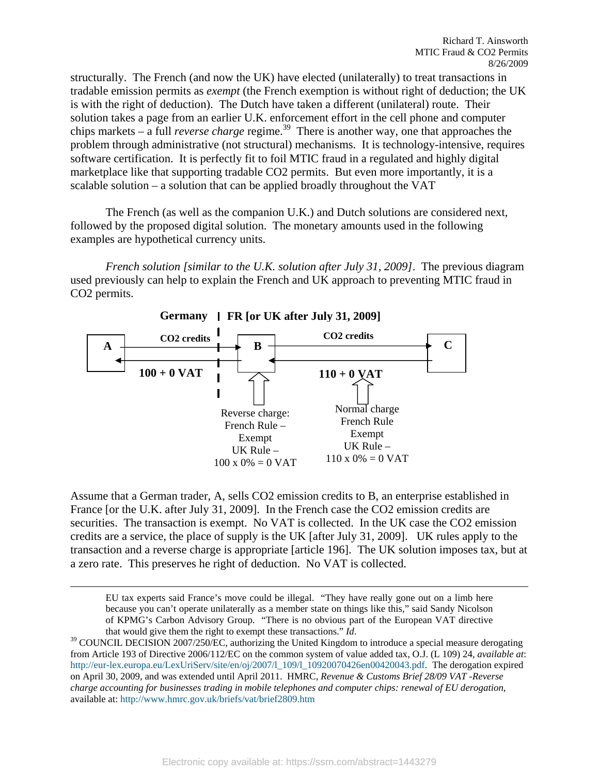structurally. The French (and now the UK) have elected (unilaterally) to treat transactions in tradable emission permits as *exempt* (the French exemption is without right of deduction; the UK is with the right of deduction). The Dutch have taken a different (unilateral) route. Their solution takes a page from an earlier U.K. enforcement effort in the cell phone and computer chips markets – a full *reverse charge* regime.<sup>39</sup> There is another way, one that approaches the problem through administrative (not structural) mechanisms. It is technology-intensive, requires software certification. It is perfectly fit to foil MTIC fraud in a regulated and highly digital marketplace like that supporting tradable CO2 permits. But even more importantly, it is a scalable solution – a solution that can be applied broadly throughout the VAT

The French (as well as the companion U.K.) and Dutch solutions are considered next, followed by the proposed digital solution. The monetary amounts used in the following examples are hypothetical currency units.

*French solution [similar to the U.K. solution after July 31, 2009]*. The previous diagram used previously can help to explain the French and UK approach to preventing MTIC fraud in CO2 permits.



Assume that a German trader, A, sells CO2 emission credits to B, an enterprise established in France [or the U.K. after July 31, 2009]. In the French case the CO2 emission credits are securities. The transaction is exempt. No VAT is collected. In the UK case the CO2 emission credits are a service, the place of supply is the UK [after July 31, 2009]. UK rules apply to the transaction and a reverse charge is appropriate [article 196]. The UK solution imposes tax, but at a zero rate. This preserves he right of deduction. No VAT is collected.

 EU tax experts said France's move could be illegal. "They have really gone out on a limb here because you can't operate unilaterally as a member state on things like this," said Sandy Nicolson of KPMG's Carbon Advisory Group. "There is no obvious part of the European VAT directive

that would give them the right to exempt these transactions." *Id*.<br><sup>39</sup> COUNCIL DECISION 2007/250/EC, authorizing the United Kingdom to introduce a special measure derogating from Article 193 of Directive 2006/112/EC on the common system of value added tax, O.J. (L 109) 24, *available at*: http://eur-lex.europa.eu/LexUriServ/site/en/oj/2007/l\_109/l\_10920070426en00420043.pdf. The derogation expired on April 30, 2009, and was extended until April 2011. HMRC, *Revenue & Customs Brief 28/09 VAT -Reverse charge accounting for businesses trading in mobile telephones and computer chips: renewal of EU derogation*, available at: http://www.hmrc.gov.uk/briefs/vat/brief2809.htm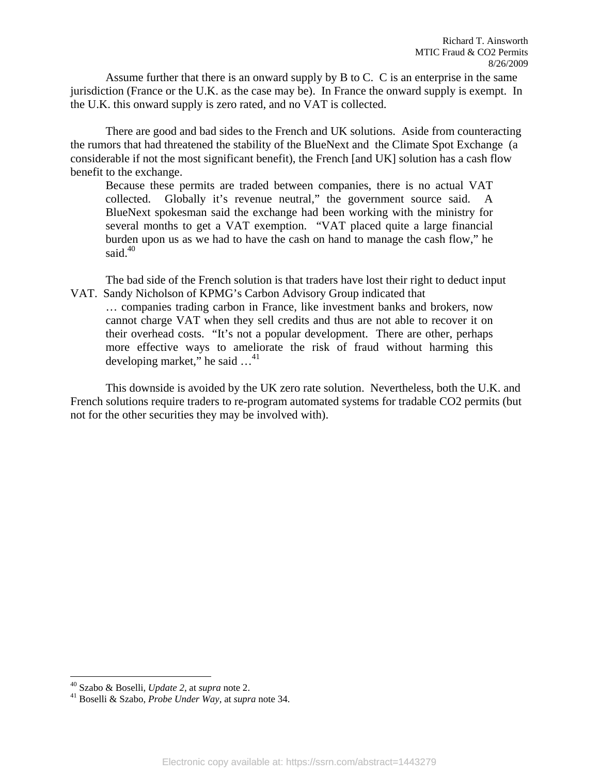Assume further that there is an onward supply by B to C. C is an enterprise in the same jurisdiction (France or the U.K. as the case may be). In France the onward supply is exempt. In the U.K. this onward supply is zero rated, and no VAT is collected.

There are good and bad sides to the French and UK solutions. Aside from counteracting the rumors that had threatened the stability of the BlueNext and the Climate Spot Exchange (a considerable if not the most significant benefit), the French [and UK] solution has a cash flow benefit to the exchange.

Because these permits are traded between companies, there is no actual VAT collected. Globally it's revenue neutral," the government source said. A BlueNext spokesman said the exchange had been working with the ministry for several months to get a VAT exemption. "VAT placed quite a large financial burden upon us as we had to have the cash on hand to manage the cash flow," he said. $40$ 

The bad side of the French solution is that traders have lost their right to deduct input VAT. Sandy Nicholson of KPMG's Carbon Advisory Group indicated that

… companies trading carbon in France, like investment banks and brokers, now cannot charge VAT when they sell credits and thus are not able to recover it on their overhead costs. "It's not a popular development. There are other, perhaps more effective ways to ameliorate the risk of fraud without harming this developing market," he said  $\dots$ <sup>41</sup>

This downside is avoided by the UK zero rate solution. Nevertheless, both the U.K. and French solutions require traders to re-program automated systems for tradable CO2 permits (but not for the other securities they may be involved with).

<sup>&</sup>lt;sup>40</sup> Szabo & Boselli, Update 2, at supra note 2.

<sup>&</sup>lt;sup>41</sup> Boselli & Szabo, *Probe Under Way*, at *supra* note 34.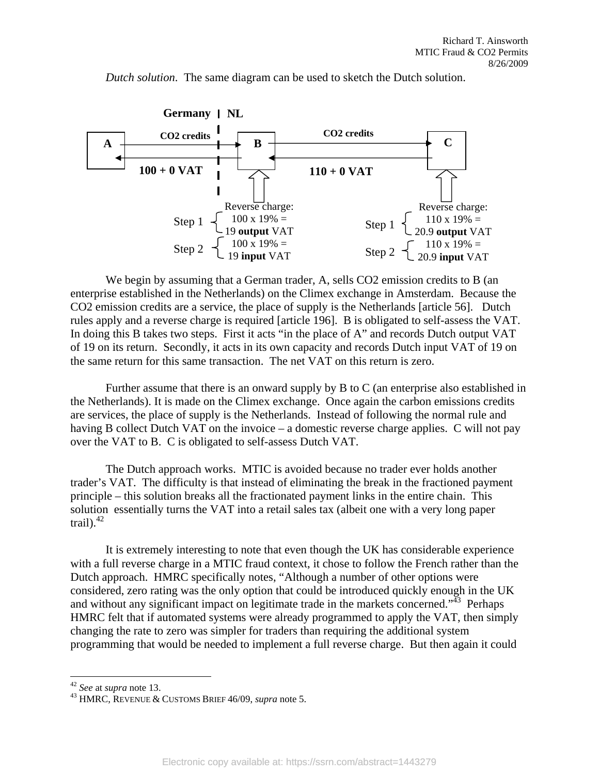

*Dutch solution*. The same diagram can be used to sketch the Dutch solution.

We begin by assuming that a German trader, A, sells CO2 emission credits to B (an enterprise established in the Netherlands) on the Climex exchange in Amsterdam. Because the CO2 emission credits are a service, the place of supply is the Netherlands [article 56]. Dutch rules apply and a reverse charge is required [article 196]. B is obligated to self-assess the VAT. In doing this B takes two steps. First it acts "in the place of A" and records Dutch output VAT of 19 on its return. Secondly, it acts in its own capacity and records Dutch input VAT of 19 on the same return for this same transaction. The net VAT on this return is zero.

Further assume that there is an onward supply by B to C (an enterprise also established in the Netherlands). It is made on the Climex exchange. Once again the carbon emissions credits are services, the place of supply is the Netherlands. Instead of following the normal rule and having B collect Dutch VAT on the invoice – a domestic reverse charge applies. C will not pay over the VAT to B. C is obligated to self-assess Dutch VAT.

The Dutch approach works. MTIC is avoided because no trader ever holds another trader's VAT. The difficulty is that instead of eliminating the break in the fractioned payment principle – this solution breaks all the fractionated payment links in the entire chain. This solution essentially turns the VAT into a retail sales tax (albeit one with a very long paper trail). $42$ 

It is extremely interesting to note that even though the UK has considerable experience with a full reverse charge in a MTIC fraud context, it chose to follow the French rather than the Dutch approach. HMRC specifically notes, "Although a number of other options were considered, zero rating was the only option that could be introduced quickly enough in the UK and without any significant impact on legitimate trade in the markets concerned.<sup> $3\overline{43}$ </sup> Perhaps HMRC felt that if automated systems were already programmed to apply the VAT, then simply changing the rate to zero was simpler for traders than requiring the additional system programming that would be needed to implement a full reverse charge. But then again it could

 $42$  See at supra note 13.

<sup>&</sup>lt;sup>43</sup> HMRC, REVENUE & CUSTOMS BRIEF 46/09, *supra* note 5.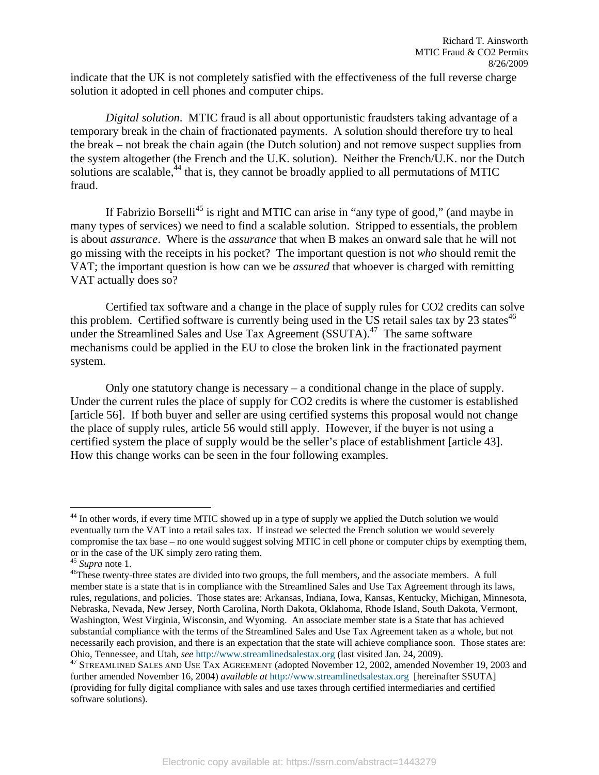indicate that the UK is not completely satisfied with the effectiveness of the full reverse charge solution it adopted in cell phones and computer chips.

*Digital solution*. MTIC fraud is all about opportunistic fraudsters taking advantage of a temporary break in the chain of fractionated payments. A solution should therefore try to heal the break – not break the chain again (the Dutch solution) and not remove suspect supplies from the system altogether (the French and the U.K. solution). Neither the French/U.K. nor the Dutch solutions are scalable, $^{44}$  that is, they cannot be broadly applied to all permutations of MTIC fraud.

If Fabrizio Borselli<sup>45</sup> is right and MTIC can arise in "any type of good," (and maybe in many types of services) we need to find a scalable solution. Stripped to essentials, the problem is about *assurance*. Where is the *assurance* that when B makes an onward sale that he will not go missing with the receipts in his pocket? The important question is not *who* should remit the VAT; the important question is how can we be *assured* that whoever is charged with remitting VAT actually does so?

Certified tax software and a change in the place of supply rules for CO2 credits can solve this problem. Certified software is currently being used in the US retail sales tax by 23 states<sup>46</sup> under the Streamlined Sales and Use Tax Agreement (SSUTA).<sup>47</sup> The same software mechanisms could be applied in the EU to close the broken link in the fractionated payment system.

Only one statutory change is necessary – a conditional change in the place of supply. Under the current rules the place of supply for CO2 credits is where the customer is established [article 56]. If both buyer and seller are using certified systems this proposal would not change the place of supply rules, article 56 would still apply. However, if the buyer is not using a certified system the place of supply would be the seller's place of establishment [article 43]. How this change works can be seen in the four following examples.

<sup>&</sup>lt;sup>44</sup> In other words, if every time MTIC showed up in a type of supply we applied the Dutch solution we would eventually turn the VAT into a retail sales tax. If instead we selected the French solution we would severely compromise the tax base – no one would suggest solving MTIC in cell phone or computer chips by exempting them, or in the case of the UK simply zero rating them.<br> $^{45}$  Supra note 1.

<sup>&</sup>lt;sup>46</sup>These twenty-three states are divided into two groups, the full members, and the associate members. A full member state is a state that is in compliance with the Streamlined Sales and Use Tax Agreement through its laws, rules, regulations, and policies. Those states are: Arkansas, Indiana, Iowa, Kansas, Kentucky, Michigan, Minnesota, Nebraska, Nevada, New Jersey, North Carolina, North Dakota, Oklahoma, Rhode Island, South Dakota, Vermont, Washington, West Virginia, Wisconsin, and Wyoming. An associate member state is a State that has achieved substantial compliance with the terms of the Streamlined Sales and Use Tax Agreement taken as a whole, but not necessarily each provision, and there is an expectation that the state will achieve compliance soon. Those states are: Ohio, Tennessee, and Utah, *see* http://www.streamlinedsalestax.org (last visited Jan. 24, 2009). 47 STREAMLINED SALES AND USE TAX AGREEMENT (adopted November 12, 2002, amended November 19, 2003 and

further amended November 16, 2004) *available at* http://www.streamlinedsalestax.org [hereinafter SSUTA] (providing for fully digital compliance with sales and use taxes through certified intermediaries and certified software solutions).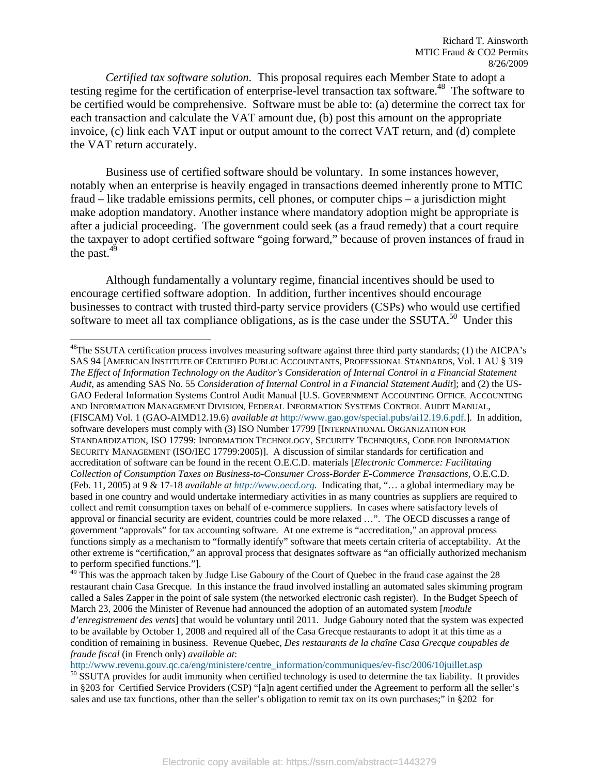*Certified tax software solution*. This proposal requires each Member State to adopt a testing regime for the certification of enterprise-level transaction tax software.<sup>48</sup> The software to be certified would be comprehensive. Software must be able to: (a) determine the correct tax for each transaction and calculate the VAT amount due, (b) post this amount on the appropriate invoice, (c) link each VAT input or output amount to the correct VAT return, and (d) complete the VAT return accurately.

Business use of certified software should be voluntary. In some instances however, notably when an enterprise is heavily engaged in transactions deemed inherently prone to MTIC fraud – like tradable emissions permits, cell phones, or computer chips – a jurisdiction might make adoption mandatory. Another instance where mandatory adoption might be appropriate is after a judicial proceeding. The government could seek (as a fraud remedy) that a court require the taxpayer to adopt certified software "going forward," because of proven instances of fraud in the past. $49$ 

Although fundamentally a voluntary regime, financial incentives should be used to encourage certified software adoption. In addition, further incentives should encourage businesses to contract with trusted third-party service providers (CSPs) who would use certified software to meet all tax compliance obligations, as is the case under the SSUTA.<sup>50</sup> Under this

1

 $48$ The SSUTA certification process involves measuring software against three third party standards; (1) the AICPA's SAS 94 [AMERICAN INSTITUTE OF CERTIFIED PUBLIC ACCOUNTANTS, PROFESSIONAL STANDARDS, Vol. 1 AU § 319 *The Effect of Information Technology on the Auditor's Consideration of Internal Control in a Financial Statement Audit*, as amending SAS No. 55 *Consideration of Internal Control in a Financial Statement Audit*]; and (2) the US-GAO Federal Information Systems Control Audit Manual [U.S. GOVERNMENT ACCOUNTING OFFICE, ACCOUNTING AND INFORMATION MANAGEMENT DIVISION, FEDERAL INFORMATION SYSTEMS CONTROL AUDIT MANUAL, (FISCAM) Vol. 1 (GAO-AIMD12.19.6) *available at* http://www.gao.gov/special.pubs/ai12.19.6.pdf.]. In addition, software developers must comply with (3) ISO Number 17799 [INTERNATIONAL ORGANIZATION FOR STANDARDIZATION, ISO 17799: INFORMATION TECHNOLOGY, SECURITY TECHNIQUES, CODE FOR INFORMATION SECURITY MANAGEMENT (ISO/IEC 17799:2005)]. A discussion of similar standards for certification and accreditation of software can be found in the recent O.E.C.D. materials [*Electronic Commerce: Facilitating Collection of Consumption Taxes on Business-to-Consumer Cross-Border E-Commerce Transactions,* O.E.C.D. (Feb. 11, 2005) at 9 & 17-18 *available at http://www.oecd.org.* Indicating that, "… a global intermediary may be based in one country and would undertake intermediary activities in as many countries as suppliers are required to collect and remit consumption taxes on behalf of e-commerce suppliers. In cases where satisfactory levels of approval or financial security are evident, countries could be more relaxed …". The OECD discusses a range of government "approvals" for tax accounting software. At one extreme is "accreditation," an approval process functions simply as a mechanism to "formally identify" software that meets certain criteria of acceptability. At the other extreme is "certification," an approval process that designates software as "an officially authorized mechanism to perform specified functions."].

<sup>49</sup> This was the approach taken by Judge Lise Gaboury of the Court of Quebec in the fraud case against the 28 restaurant chain Casa Grecque. In this instance the fraud involved installing an automated sales skimming program called a Sales Zapper in the point of sale system (the networked electronic cash register). In the Budget Speech of March 23, 2006 the Minister of Revenue had announced the adoption of an automated system [*module d'enregistrement des vents*] that would be voluntary until 2011. Judge Gaboury noted that the system was expected to be available by October 1, 2008 and required all of the Casa Grecque restaurants to adopt it at this time as a condition of remaining in business. Revenue Quebec, *Des restaurants de la chaîne Casa Grecque coupables de fraude fiscal* (in French only) *available at*:

http://www.revenu.gouv.qc.ca/eng/ministere/centre\_information/communiques/ev-fisc/2006/10juillet.asp 50 SSUTA provides for audit immunity when certified technology is used to determine the tax liability. It provides in §203 for Certified Service Providers (CSP) "[a]n agent certified under the Agreement to perform all the seller's sales and use tax functions, other than the seller's obligation to remit tax on its own purchases;" in §202 for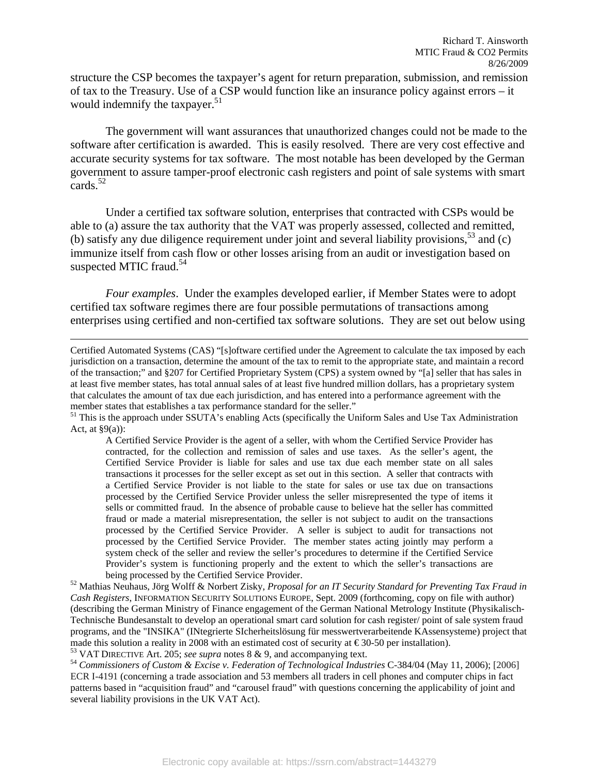structure the CSP becomes the taxpayer's agent for return preparation, submission, and remission of tax to the Treasury. Use of a CSP would function like an insurance policy against errors – it would indemnify the taxpayer.<sup>51</sup>

The government will want assurances that unauthorized changes could not be made to the software after certification is awarded. This is easily resolved. There are very cost effective and accurate security systems for tax software. The most notable has been developed by the German government to assure tamper-proof electronic cash registers and point of sale systems with smart cards.52

Under a certified tax software solution, enterprises that contracted with CSPs would be able to (a) assure the tax authority that the VAT was properly assessed, collected and remitted, (b) satisfy any due diligence requirement under joint and several liability provisions,<sup>53</sup> and (c) immunize itself from cash flow or other losses arising from an audit or investigation based on suspected MTIC fraud. $54$ 

*Four examples*. Under the examples developed earlier, if Member States were to adopt certified tax software regimes there are four possible permutations of transactions among enterprises using certified and non-certified tax software solutions. They are set out below using

ECR I-4191 (concerning a trade association and 53 members all traders in cell phones and computer chips in fact patterns based in "acquisition fraud" and "carousel fraud" with questions concerning the applicability of joint and several liability provisions in the UK VAT Act).

Certified Automated Systems (CAS) "[s]oftware certified under the Agreement to calculate the tax imposed by each jurisdiction on a transaction, determine the amount of the tax to remit to the appropriate state, and maintain a record of the transaction;" and §207 for Certified Proprietary System (CPS) a system owned by "[a] seller that has sales in at least five member states, has total annual sales of at least five hundred million dollars, has a proprietary system that calculates the amount of tax due each jurisdiction, and has entered into a performance agreement with the member states that establishes a tax performance standard for the seller."<br><sup>51</sup> This is the approach under SSUTA's enabling Acts (specifically the Uniform Sales and Use Tax Administration

Act, at  $\S9(a)$ :

A Certified Service Provider is the agent of a seller, with whom the Certified Service Provider has contracted, for the collection and remission of sales and use taxes. As the seller's agent, the Certified Service Provider is liable for sales and use tax due each member state on all sales transactions it processes for the seller except as set out in this section. A seller that contracts with a Certified Service Provider is not liable to the state for sales or use tax due on transactions processed by the Certified Service Provider unless the seller misrepresented the type of items it sells or committed fraud. In the absence of probable cause to believe hat the seller has committed fraud or made a material misrepresentation, the seller is not subject to audit on the transactions processed by the Certified Service Provider. A seller is subject to audit for transactions not processed by the Certified Service Provider. The member states acting jointly may perform a system check of the seller and review the seller's procedures to determine if the Certified Service Provider's system is functioning properly and the extent to which the seller's transactions are being processed by the Certified Service Provider.

<sup>&</sup>lt;sup>52</sup> Mathias Neuhaus, Jörg Wolff & Norbert Zisky, *Proposal for an IT Security Standard for Preventing Tax Fraud in Cash Registers*, INFORMATION SECURITY SOLUTIONS EUROPE, Sept. 2009 (forthcoming, copy on file with author) (describing the German Ministry of Finance engagement of the German National Metrology Institute (Physikalisch-Technische Bundesanstalt to develop an operational smart card solution for cash register/ point of sale system fraud programs, and the "INSIKA" (INtegrierte SIcherheitslösung für messwertverarbeitende KAssensysteme) project that made this solution a reality in 2008 with an estimated cost of security at  $\epsilon$ 30-50 per installation).<br><sup>53</sup> VAT DIRECTIVE Art. 205; *see supra* notes 8 & 9, and accompanying text.<br><sup>54</sup> Commissioners of Custom & Excise v.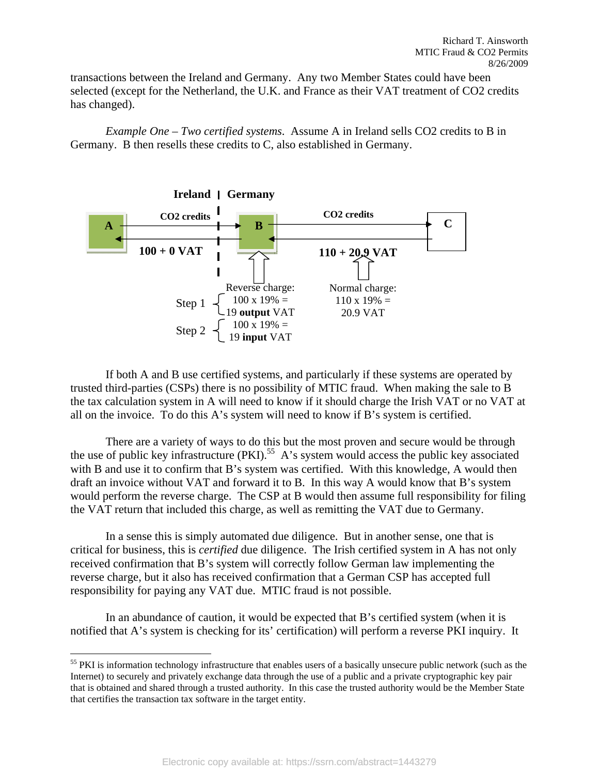transactions between the Ireland and Germany. Any two Member States could have been selected (except for the Netherland, the U.K. and France as their VAT treatment of CO2 credits has changed).

*Example One – Two certified systems*. Assume A in Ireland sells CO2 credits to B in Germany. B then resells these credits to C, also established in Germany.



If both A and B use certified systems, and particularly if these systems are operated by trusted third-parties (CSPs) there is no possibility of MTIC fraud. When making the sale to B the tax calculation system in A will need to know if it should charge the Irish VAT or no VAT at all on the invoice. To do this A's system will need to know if B's system is certified.

There are a variety of ways to do this but the most proven and secure would be through the use of public key infrastructure  $(PKI)$ .<sup>55</sup> A's system would access the public key associated with B and use it to confirm that B's system was certified. With this knowledge, A would then draft an invoice without VAT and forward it to B. In this way A would know that B's system would perform the reverse charge. The CSP at B would then assume full responsibility for filing the VAT return that included this charge, as well as remitting the VAT due to Germany.

In a sense this is simply automated due diligence. But in another sense, one that is critical for business, this is *certified* due diligence. The Irish certified system in A has not only received confirmation that B's system will correctly follow German law implementing the reverse charge, but it also has received confirmation that a German CSP has accepted full responsibility for paying any VAT due. MTIC fraud is not possible.

In an abundance of caution, it would be expected that B's certified system (when it is notified that A's system is checking for its' certification) will perform a reverse PKI inquiry. It

<u>.</u>

<sup>&</sup>lt;sup>55</sup> PKI is information technology infrastructure that enables users of a basically unsecure public network (such as the Internet) to securely and privately exchange data through the use of a public and a private cryptographic key pair that is obtained and shared through a trusted authority. In this case the trusted authority would be the Member State that certifies the transaction tax software in the target entity.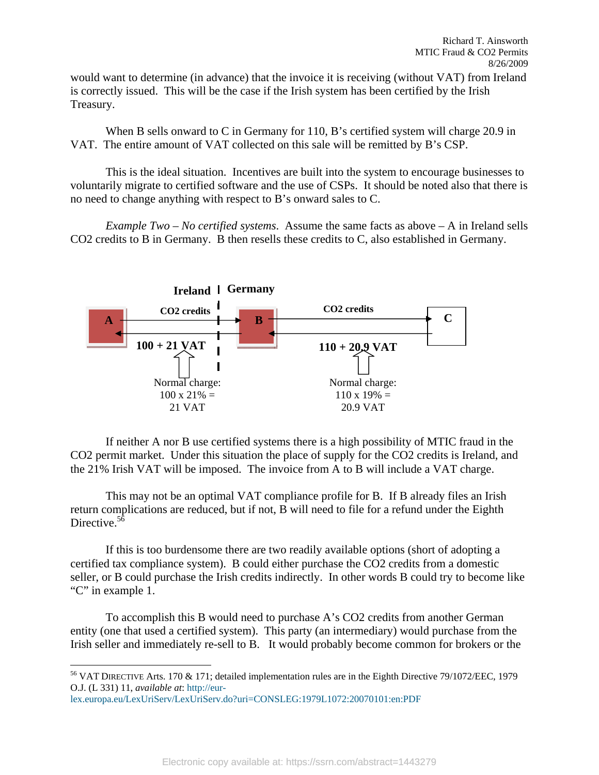would want to determine (in advance) that the invoice it is receiving (without VAT) from Ireland is correctly issued. This will be the case if the Irish system has been certified by the Irish Treasury.

When B sells onward to C in Germany for 110, B's certified system will charge 20.9 in VAT. The entire amount of VAT collected on this sale will be remitted by B's CSP.

This is the ideal situation. Incentives are built into the system to encourage businesses to voluntarily migrate to certified software and the use of CSPs. It should be noted also that there is no need to change anything with respect to B's onward sales to C.

*Example Two – No certified systems*. Assume the same facts as above – A in Ireland sells CO2 credits to B in Germany. B then resells these credits to C, also established in Germany.



If neither A nor B use certified systems there is a high possibility of MTIC fraud in the CO2 permit market. Under this situation the place of supply for the CO2 credits is Ireland, and the 21% Irish VAT will be imposed. The invoice from A to B will include a VAT charge.

This may not be an optimal VAT compliance profile for B. If B already files an Irish return complications are reduced, but if not, B will need to file for a refund under the Eighth Directive.<sup>56</sup>

If this is too burdensome there are two readily available options (short of adopting a certified tax compliance system). B could either purchase the CO2 credits from a domestic seller, or B could purchase the Irish credits indirectly. In other words B could try to become like "C" in example 1.

To accomplish this B would need to purchase A's CO2 credits from another German entity (one that used a certified system). This party (an intermediary) would purchase from the Irish seller and immediately re-sell to B. It would probably become common for brokers or the

 $\overline{a}$ 56 VAT DIRECTIVE Arts. 170 & 171; detailed implementation rules are in the Eighth Directive 79/1072/EEC, 1979 O.J. (L 331) 11, *available at*: http://eur-

lex.europa.eu/LexUriServ/LexUriServ.do?uri=CONSLEG:1979L1072:20070101:en:PDF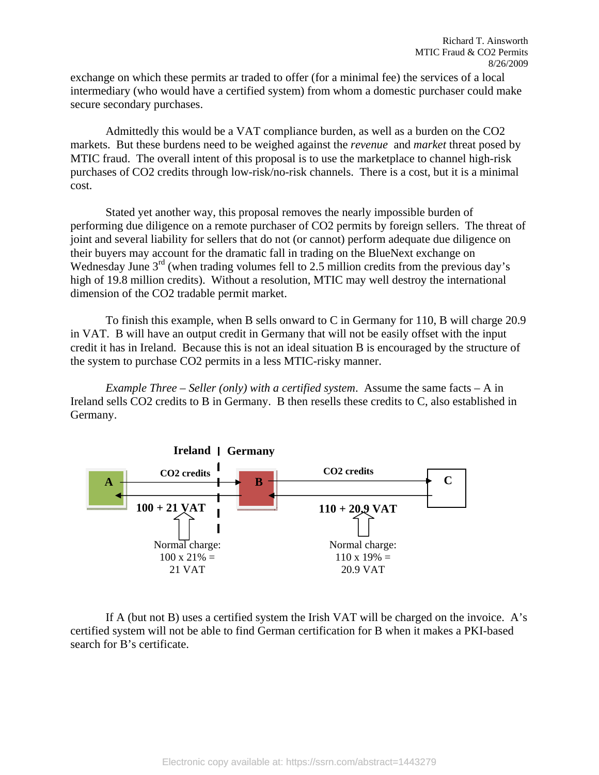exchange on which these permits ar traded to offer (for a minimal fee) the services of a local intermediary (who would have a certified system) from whom a domestic purchaser could make secure secondary purchases.

Admittedly this would be a VAT compliance burden, as well as a burden on the CO2 markets. But these burdens need to be weighed against the *revenue* and *market* threat posed by MTIC fraud. The overall intent of this proposal is to use the marketplace to channel high-risk purchases of CO2 credits through low-risk/no-risk channels. There is a cost, but it is a minimal cost.

Stated yet another way, this proposal removes the nearly impossible burden of performing due diligence on a remote purchaser of CO2 permits by foreign sellers. The threat of joint and several liability for sellers that do not (or cannot) perform adequate due diligence on their buyers may account for the dramatic fall in trading on the BlueNext exchange on Wednesday June  $3<sup>rd</sup>$  (when trading volumes fell to 2.5 million credits from the previous day's high of 19.8 million credits). Without a resolution, MTIC may well destroy the international dimension of the CO2 tradable permit market.

To finish this example, when B sells onward to C in Germany for 110, B will charge 20.9 in VAT. B will have an output credit in Germany that will not be easily offset with the input credit it has in Ireland. Because this is not an ideal situation B is encouraged by the structure of the system to purchase CO2 permits in a less MTIC-risky manner.

*Example Three – Seller (only) with a certified system*. Assume the same facts – A in Ireland sells CO2 credits to B in Germany. B then resells these credits to C, also established in Germany.



If A (but not B) uses a certified system the Irish VAT will be charged on the invoice. A's certified system will not be able to find German certification for B when it makes a PKI-based search for B's certificate.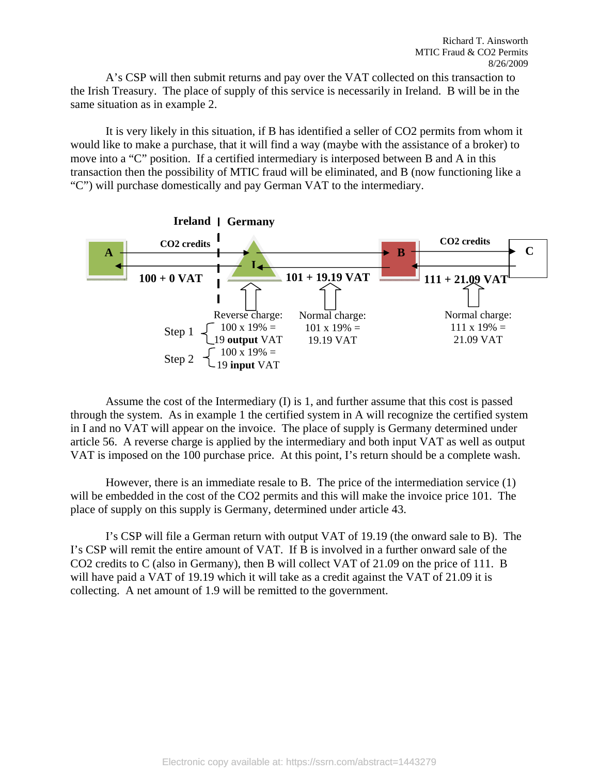A's CSP will then submit returns and pay over the VAT collected on this transaction to the Irish Treasury. The place of supply of this service is necessarily in Ireland. B will be in the same situation as in example 2.

It is very likely in this situation, if B has identified a seller of CO2 permits from whom it would like to make a purchase, that it will find a way (maybe with the assistance of a broker) to move into a "C" position. If a certified intermediary is interposed between B and A in this transaction then the possibility of MTIC fraud will be eliminated, and B (now functioning like a "C") will purchase domestically and pay German VAT to the intermediary.



Assume the cost of the Intermediary (I) is 1, and further assume that this cost is passed through the system. As in example 1 the certified system in A will recognize the certified system in I and no VAT will appear on the invoice. The place of supply is Germany determined under article 56. A reverse charge is applied by the intermediary and both input VAT as well as output VAT is imposed on the 100 purchase price. At this point, I's return should be a complete wash.

However, there is an immediate resale to B. The price of the intermediation service (1) will be embedded in the cost of the CO2 permits and this will make the invoice price 101. The place of supply on this supply is Germany, determined under article 43.

I's CSP will file a German return with output VAT of 19.19 (the onward sale to B). The I's CSP will remit the entire amount of VAT. If B is involved in a further onward sale of the CO2 credits to C (also in Germany), then B will collect VAT of 21.09 on the price of 111. B will have paid a VAT of 19.19 which it will take as a credit against the VAT of 21.09 it is collecting. A net amount of 1.9 will be remitted to the government.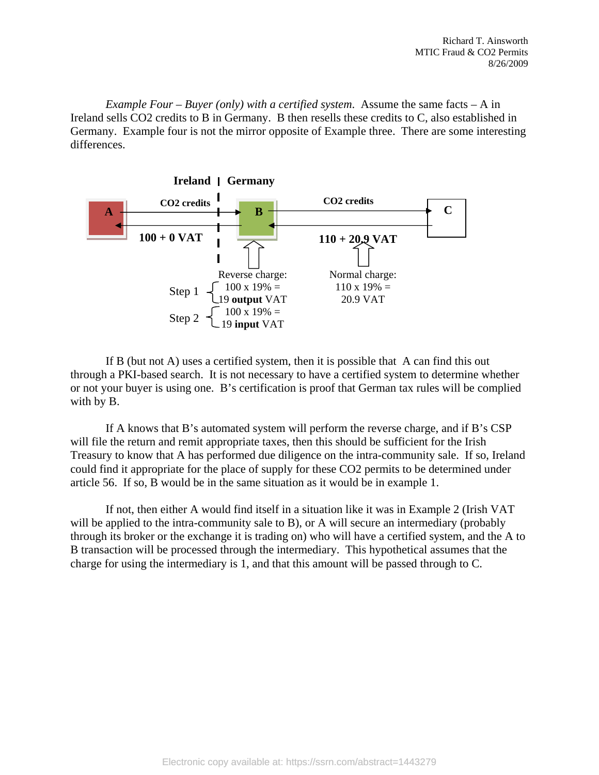*Example Four – Buyer (only) with a certified system*. Assume the same facts – A in Ireland sells CO2 credits to B in Germany. B then resells these credits to C, also established in Germany. Example four is not the mirror opposite of Example three. There are some interesting differences.



If B (but not A) uses a certified system, then it is possible that A can find this out through a PKI-based search. It is not necessary to have a certified system to determine whether or not your buyer is using one. B's certification is proof that German tax rules will be complied with by B.

If A knows that B's automated system will perform the reverse charge, and if B's CSP will file the return and remit appropriate taxes, then this should be sufficient for the Irish Treasury to know that A has performed due diligence on the intra-community sale. If so, Ireland could find it appropriate for the place of supply for these CO2 permits to be determined under article 56. If so, B would be in the same situation as it would be in example 1.

If not, then either A would find itself in a situation like it was in Example 2 (Irish VAT will be applied to the intra-community sale to B), or A will secure an intermediary (probably through its broker or the exchange it is trading on) who will have a certified system, and the A to B transaction will be processed through the intermediary. This hypothetical assumes that the charge for using the intermediary is 1, and that this amount will be passed through to C.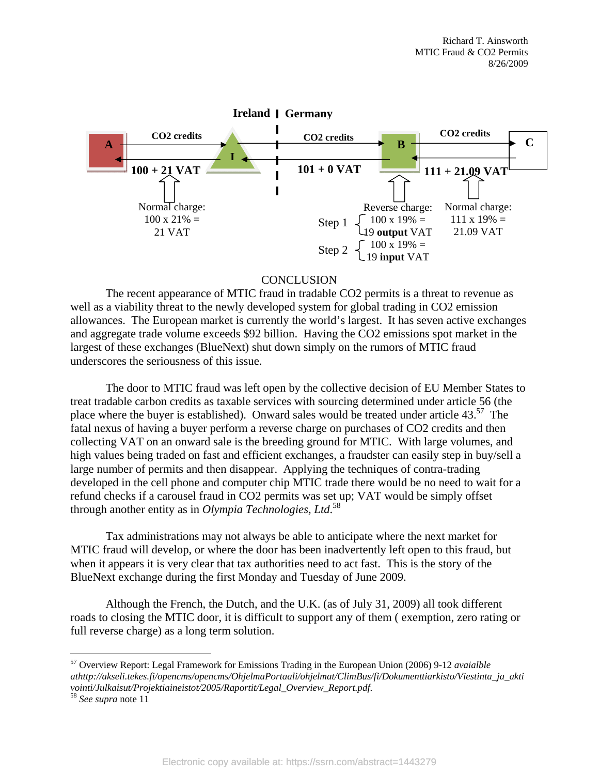

#### **CONCLUSION**

 The recent appearance of MTIC fraud in tradable CO2 permits is a threat to revenue as well as a viability threat to the newly developed system for global trading in CO2 emission allowances. The European market is currently the world's largest. It has seven active exchanges and aggregate trade volume exceeds \$92 billion. Having the CO2 emissions spot market in the largest of these exchanges (BlueNext) shut down simply on the rumors of MTIC fraud underscores the seriousness of this issue.

The door to MTIC fraud was left open by the collective decision of EU Member States to treat tradable carbon credits as taxable services with sourcing determined under article 56 (the place where the buyer is established). Onward sales would be treated under article  $43<sup>57</sup>$  The fatal nexus of having a buyer perform a reverse charge on purchases of CO2 credits and then collecting VAT on an onward sale is the breeding ground for MTIC. With large volumes, and high values being traded on fast and efficient exchanges, a fraudster can easily step in buy/sell a large number of permits and then disappear. Applying the techniques of contra-trading developed in the cell phone and computer chip MTIC trade there would be no need to wait for a refund checks if a carousel fraud in CO2 permits was set up; VAT would be simply offset through another entity as in *Olympia Technologies, Ltd*. 58

Tax administrations may not always be able to anticipate where the next market for MTIC fraud will develop, or where the door has been inadvertently left open to this fraud, but when it appears it is very clear that tax authorities need to act fast. This is the story of the BlueNext exchange during the first Monday and Tuesday of June 2009.

Although the French, the Dutch, and the U.K. (as of July 31, 2009) all took different roads to closing the MTIC door, it is difficult to support any of them ( exemption, zero rating or full reverse charge) as a long term solution.

<u>.</u>

<sup>57</sup> Overview Report: Legal Framework for Emissions Trading in the European Union (2006) 9-12 *avaialble athttp://akseli.tekes.fi/opencms/opencms/OhjelmaPortaali/ohjelmat/ClimBus/fi/Dokumenttiarkisto/Viestinta\_ja\_akti vointi/Julkaisut/Projektiaineistot/2005/Raportit/Legal\_Overview\_Report.pdf*. 58 *See supra* note 11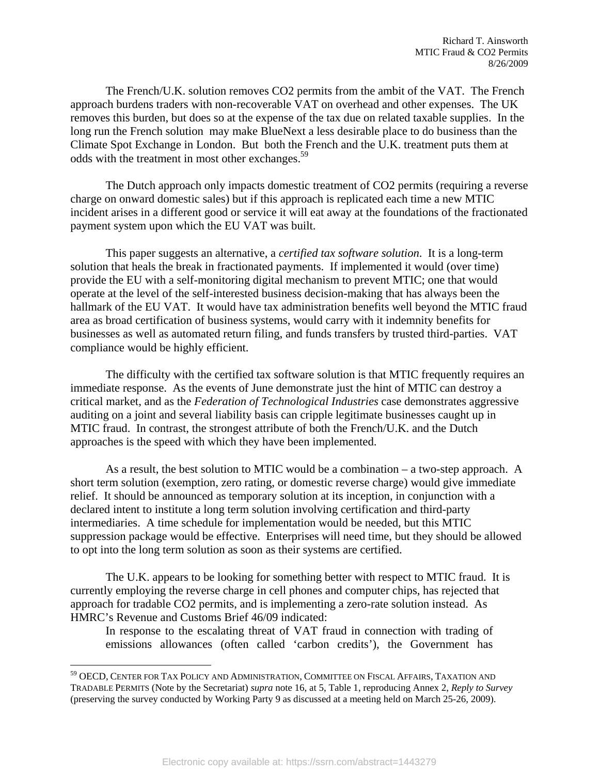The French/U.K. solution removes CO2 permits from the ambit of the VAT. The French approach burdens traders with non-recoverable VAT on overhead and other expenses. The UK removes this burden, but does so at the expense of the tax due on related taxable supplies. In the long run the French solution may make BlueNext a less desirable place to do business than the Climate Spot Exchange in London. But both the French and the U.K. treatment puts them at odds with the treatment in most other exchanges.<sup>59</sup>

The Dutch approach only impacts domestic treatment of CO2 permits (requiring a reverse charge on onward domestic sales) but if this approach is replicated each time a new MTIC incident arises in a different good or service it will eat away at the foundations of the fractionated payment system upon which the EU VAT was built.

This paper suggests an alternative, a *certified tax software solution*. It is a long-term solution that heals the break in fractionated payments. If implemented it would (over time) provide the EU with a self-monitoring digital mechanism to prevent MTIC; one that would operate at the level of the self-interested business decision-making that has always been the hallmark of the EU VAT. It would have tax administration benefits well beyond the MTIC fraud area as broad certification of business systems, would carry with it indemnity benefits for businesses as well as automated return filing, and funds transfers by trusted third-parties. VAT compliance would be highly efficient.

The difficulty with the certified tax software solution is that MTIC frequently requires an immediate response. As the events of June demonstrate just the hint of MTIC can destroy a critical market, and as the *Federation of Technological Industries* case demonstrates aggressive auditing on a joint and several liability basis can cripple legitimate businesses caught up in MTIC fraud. In contrast, the strongest attribute of both the French/U.K. and the Dutch approaches is the speed with which they have been implemented.

As a result, the best solution to MTIC would be a combination – a two-step approach. A short term solution (exemption, zero rating, or domestic reverse charge) would give immediate relief. It should be announced as temporary solution at its inception, in conjunction with a declared intent to institute a long term solution involving certification and third-party intermediaries. A time schedule for implementation would be needed, but this MTIC suppression package would be effective. Enterprises will need time, but they should be allowed to opt into the long term solution as soon as their systems are certified.

The U.K. appears to be looking for something better with respect to MTIC fraud. It is currently employing the reverse charge in cell phones and computer chips, has rejected that approach for tradable CO2 permits, and is implementing a zero-rate solution instead. As HMRC's Revenue and Customs Brief 46/09 indicated:

In response to the escalating threat of VAT fraud in connection with trading of emissions allowances (often called 'carbon credits'), the Government has

<sup>59</sup> OECD, CENTER FOR TAX POLICY AND ADMINISTRATION, COMMITTEE ON FISCAL AFFAIRS, TAXATION AND TRADABLE PERMITS (Note by the Secretariat) *supra* note 16, at 5, Table 1, reproducing Annex 2, *Reply to Survey*  (preserving the survey conducted by Working Party 9 as discussed at a meeting held on March 25-26, 2009).